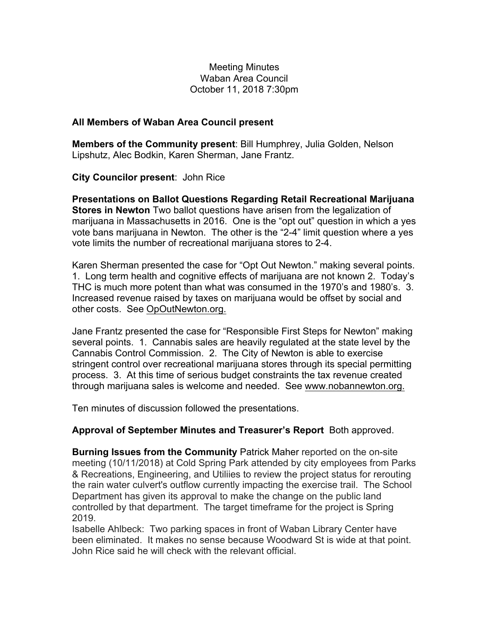## Meeting Minutes Waban Area Council October 11, 2018 7:30pm

## **All Members of Waban Area Council present**

**Members of the Community present**: Bill Humphrey, Julia Golden, Nelson Lipshutz, Alec Bodkin, Karen Sherman, Jane Frantz.

**City Councilor present**: John Rice

**Presentations on Ballot Questions Regarding Retail Recreational Marijuana Stores in Newton** Two ballot questions have arisen from the legalization of marijuana in Massachusetts in 2016. One is the "opt out" question in which a yes vote bans marijuana in Newton. The other is the "2-4" limit question where a yes vote limits the number of recreational marijuana stores to 2-4.

Karen Sherman presented the case for "Opt Out Newton." making several points. 1. Long term health and cognitive effects of marijuana are not known 2. Today's THC is much more potent than what was consumed in the 1970's and 1980's. 3. Increased revenue raised by taxes on marijuana would be offset by social and other costs. See OpOutNewton.org.

Jane Frantz presented the case for "Responsible First Steps for Newton" making several points. 1. Cannabis sales are heavily regulated at the state level by the Cannabis Control Commission. 2. The City of Newton is able to exercise stringent control over recreational marijuana stores through its special permitting process. 3. At this time of serious budget constraints the tax revenue created through marijuana sales is welcome and needed. See www.nobannewton.org.

Ten minutes of discussion followed the presentations.

## **Approval of September Minutes and Treasurer's Report** Both approved.

**Burning Issues from the Community** Patrick Maher reported on the on-site meeting (10/11/2018) at Cold Spring Park attended by city employees from Parks & Recreations, Engineering, and Utiliies to review the project status for rerouting the rain water culvert's outflow currently impacting the exercise trail. The School Department has given its approval to make the change on the public land controlled by that department. The target timeframe for the project is Spring 2019.

Isabelle Ahlbeck: Two parking spaces in front of Waban Library Center have been eliminated. It makes no sense because Woodward St is wide at that point. John Rice said he will check with the relevant official.